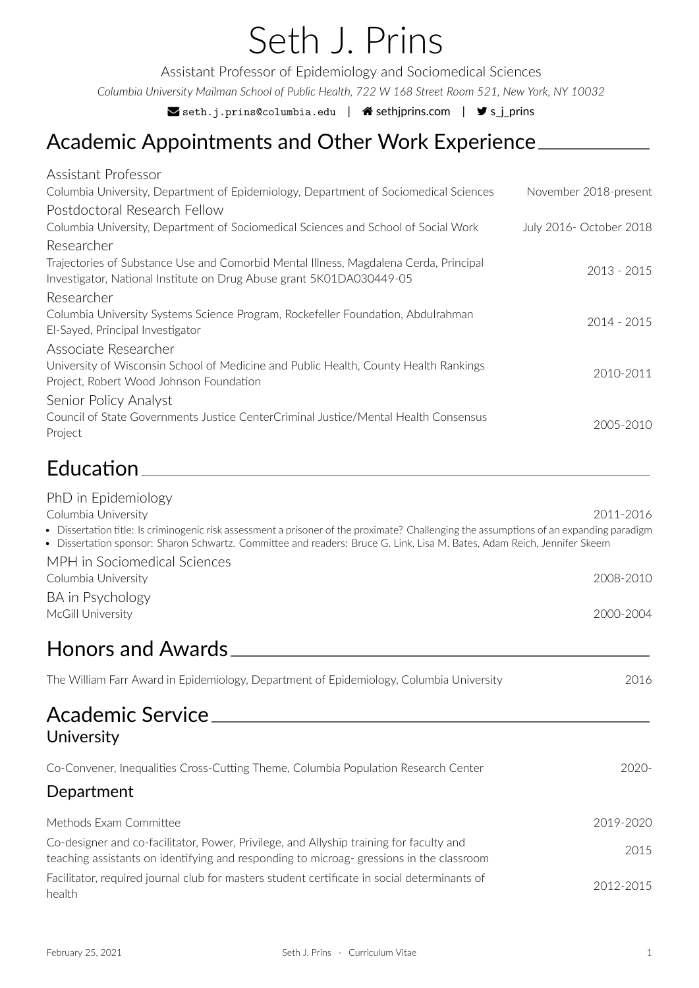*Columbia University Mailman School of Public Health, 722 W 168 Street Room 521, New York, NY 10032*

 $\blacktriangleright$  seth.j.prins@columbia.edu |  $\blacklozenge$  sethjprins.com |  $\blacktriangleright$  s\_j\_prins

# Academic Appointments and Other Work Experience

| Assistant Professor                                                                                                                                                                                                                                               |                         |
|-------------------------------------------------------------------------------------------------------------------------------------------------------------------------------------------------------------------------------------------------------------------|-------------------------|
| Columbia University, Department of Epidemiology, Department of Sociomedical Sciences                                                                                                                                                                              | November 2018-present   |
| Postdoctoral Research Fellow                                                                                                                                                                                                                                      |                         |
| Columbia University, Department of Sociomedical Sciences and School of Social Work                                                                                                                                                                                | July 2016- October 2018 |
| Researcher                                                                                                                                                                                                                                                        |                         |
| Trajectories of Substance Use and Comorbid Mental Illness, Magdalena Cerda, Principal<br>Investigator, National Institute on Drug Abuse grant 5K01DA030449-05                                                                                                     | $2013 - 2015$           |
| Researcher                                                                                                                                                                                                                                                        |                         |
| Columbia University Systems Science Program, Rockefeller Foundation, Abdulrahman<br>El-Sayed, Principal Investigator                                                                                                                                              | 2014 - 2015             |
| Associate Researcher                                                                                                                                                                                                                                              |                         |
| University of Wisconsin School of Medicine and Public Health, County Health Rankings<br>Project, Robert Wood Johnson Foundation                                                                                                                                   | 2010-2011               |
| Senior Policy Analyst                                                                                                                                                                                                                                             |                         |
| Council of State Governments Justice CenterCriminal Justice/Mental Health Consensus<br>Project                                                                                                                                                                    | 2005-2010               |
| Education_________________                                                                                                                                                                                                                                        |                         |
| PhD in Epidemiology                                                                                                                                                                                                                                               |                         |
| Columbia University                                                                                                                                                                                                                                               | 2011-2016               |
| Dissertation title: Is criminogenic risk assessment a prisoner of the proximate? Challenging the assumptions of an expanding paradigm<br>· Dissertation sponsor: Sharon Schwartz. Committee and readers: Bruce G. Link, Lisa M. Bates, Adam Reich, Jennifer Skeem |                         |
| MPH in Sociomedical Sciences                                                                                                                                                                                                                                      |                         |
| Columbia University                                                                                                                                                                                                                                               | 2008-2010               |
| BA in Psychology<br>McGill University                                                                                                                                                                                                                             | 2000-2004               |
| <b>Honors and Awards</b>                                                                                                                                                                                                                                          |                         |
| The William Farr Award in Epidemiology, Department of Epidemiology, Columbia University                                                                                                                                                                           | 2016                    |
| Academic Service<br>University                                                                                                                                                                                                                                    |                         |
| Co-Convener, Inequalities Cross-Cutting Theme, Columbia Population Research Center                                                                                                                                                                                | 2020-                   |

## Department

| Methods Exam Committee                                                                                                                                                             | 2019-2020 |
|------------------------------------------------------------------------------------------------------------------------------------------------------------------------------------|-----------|
| Co-designer and co-facilitator, Power, Privilege, and Allyship training for faculty and<br>teaching assistants on identifying and responding to microag-gressions in the classroom | 2015      |
| Facilitator, required journal club for masters student certificate in social determinants of<br>health                                                                             | 2012-2015 |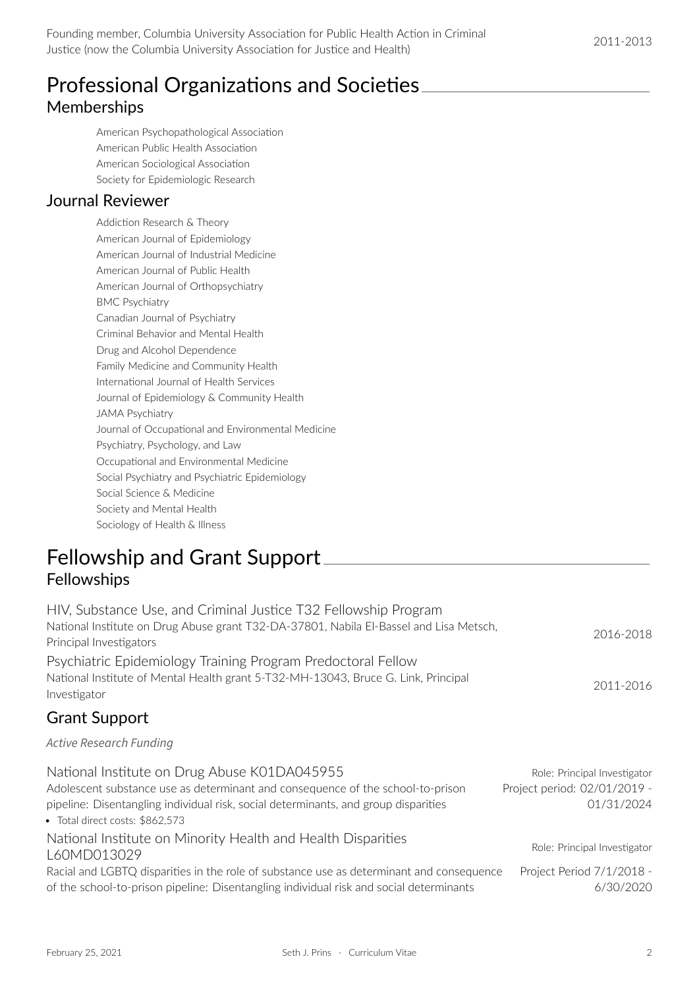## Professional Organizations and Societies Memberships

American Psychopathological Association American Public Health Association American Sociological Association Society for Epidemiologic Research

### Journal Reviewer

Addiction Research & Theory American Journal of Epidemiology American Journal of Industrial Medicine American Journal of Public Health American Journal of Orthopsychiatry BMC Psychiatry Canadian Journal of Psychiatry Criminal Behavior and Mental Health Drug and Alcohol Dependence Family Medicine and Community Health International Journal of Health Services Journal of Epidemiology & Community Health JAMA Psychiatry Journal of Occupational and Environmental Medicine Psychiatry, Psychology, and Law Occupational and Environmental Medicine Social Psychiatry and Psychiatric Epidemiology Social Science & Medicine Society and Mental Health Sociology of Health & Illness

## Fellowship and Grant Support Fellowships

| HIV, Substance Use, and Criminal Justice T32 Fellowship Program                                                                                                                                                                                           |                                                                            |
|-----------------------------------------------------------------------------------------------------------------------------------------------------------------------------------------------------------------------------------------------------------|----------------------------------------------------------------------------|
| National Institute on Drug Abuse grant T32-DA-37801, Nabila El-Bassel and Lisa Metsch,<br>Principal Investigators                                                                                                                                         | 2016-2018                                                                  |
| Psychiatric Epidemiology Training Program Predoctoral Fellow<br>National Institute of Mental Health grant 5-T32-MH-13043, Bruce G. Link, Principal<br>Investigator                                                                                        | 2011-2016                                                                  |
| <b>Grant Support</b>                                                                                                                                                                                                                                      |                                                                            |
| <b>Active Research Funding</b>                                                                                                                                                                                                                            |                                                                            |
| National Institute on Drug Abuse K01DA045955<br>Adolescent substance use as determinant and consequence of the school-to-prison<br>pipeline: Disentangling individual risk, social determinants, and group disparities<br>• Total direct costs: \$862,573 | Role: Principal Investigator<br>Project period: 02/01/2019 -<br>01/31/2024 |
| National Institute on Minority Health and Health Disparities<br>L60MD013029                                                                                                                                                                               | Role: Principal Investigator                                               |
| Racial and LGBTQ disparities in the role of substance use as determinant and consequence<br>of the school-to-prison pipeline: Disentangling individual risk and social determinants                                                                       | Project Period 7/1/2018 -<br>6/30/2020                                     |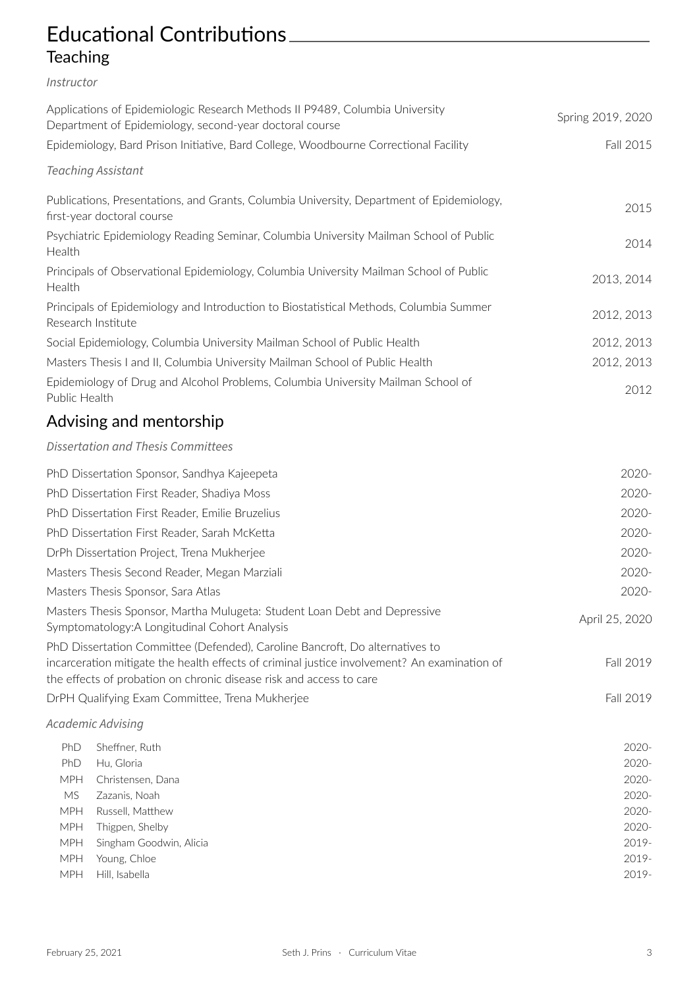## Educational Contributions **Teaching**

### *Instructor*

|                           | Applications of Epidemiologic Research Methods II P9489, Columbia University<br>Department of Epidemiology, second-year doctoral course                                                                                                             | Spring 2019, 2020 |
|---------------------------|-----------------------------------------------------------------------------------------------------------------------------------------------------------------------------------------------------------------------------------------------------|-------------------|
|                           | Epidemiology, Bard Prison Initiative, Bard College, Woodbourne Correctional Facility                                                                                                                                                                | Fall 2015         |
| <b>Teaching Assistant</b> |                                                                                                                                                                                                                                                     |                   |
|                           | Publications, Presentations, and Grants, Columbia University, Department of Epidemiology,<br>first-year doctoral course                                                                                                                             | 2015              |
| Health                    | Psychiatric Epidemiology Reading Seminar, Columbia University Mailman School of Public                                                                                                                                                              | 2014              |
| Health                    | Principals of Observational Epidemiology, Columbia University Mailman School of Public                                                                                                                                                              | 2013, 2014        |
| Research Institute        | Principals of Epidemiology and Introduction to Biostatistical Methods, Columbia Summer                                                                                                                                                              | 2012, 2013        |
|                           | Social Epidemiology, Columbia University Mailman School of Public Health                                                                                                                                                                            | 2012, 2013        |
|                           | Masters Thesis I and II, Columbia University Mailman School of Public Health                                                                                                                                                                        | 2012, 2013        |
| Public Health             | Epidemiology of Drug and Alcohol Problems, Columbia University Mailman School of                                                                                                                                                                    | 2012              |
|                           | Advising and mentorship                                                                                                                                                                                                                             |                   |
|                           | <b>Dissertation and Thesis Committees</b>                                                                                                                                                                                                           |                   |
|                           | PhD Dissertation Sponsor, Sandhya Kajeepeta                                                                                                                                                                                                         | 2020-             |
|                           | PhD Dissertation First Reader, Shadiya Moss                                                                                                                                                                                                         | 2020-             |
|                           | PhD Dissertation First Reader, Emilie Bruzelius                                                                                                                                                                                                     | 2020-             |
|                           | PhD Dissertation First Reader, Sarah McKetta                                                                                                                                                                                                        | 2020-             |
|                           | DrPh Dissertation Project, Trena Mukherjee                                                                                                                                                                                                          | 2020-             |
|                           | Masters Thesis Second Reader, Megan Marziali                                                                                                                                                                                                        | 2020-             |
|                           | Masters Thesis Sponsor, Sara Atlas                                                                                                                                                                                                                  | 2020-             |
|                           | Masters Thesis Sponsor, Martha Mulugeta: Student Loan Debt and Depressive<br>Symptomatology: A Longitudinal Cohort Analysis                                                                                                                         | April 25, 2020    |
|                           | PhD Dissertation Committee (Defended), Caroline Bancroft, Do alternatives to<br>incarceration mitigate the health effects of criminal justice involvement? An examination of<br>the effects of probation on chronic disease risk and access to care | Fall 2019         |
|                           | DrPH Qualifying Exam Committee, Trena Mukherjee                                                                                                                                                                                                     | Fall 2019         |
| Academic Advising         |                                                                                                                                                                                                                                                     |                   |
| PhD                       | Sheffner, Ruth                                                                                                                                                                                                                                      | $2020 -$          |
| PhD                       | Hu, Gloria                                                                                                                                                                                                                                          | 2020-             |
| MPH                       | Christensen, Dana                                                                                                                                                                                                                                   | 2020-             |
| MS                        | Zazanis, Noah                                                                                                                                                                                                                                       | 2020-             |
| <b>MPH</b>                | Russell, Matthew                                                                                                                                                                                                                                    | 2020-             |
| <b>MPH</b>                | Thigpen, Shelby                                                                                                                                                                                                                                     | 2020-             |
| MPH                       | Singham Goodwin, Alicia                                                                                                                                                                                                                             | 2019-             |
| MPH                       | Young, Chloe                                                                                                                                                                                                                                        | 2019-             |
| MPH                       | Hill, Isabella                                                                                                                                                                                                                                      | 2019-             |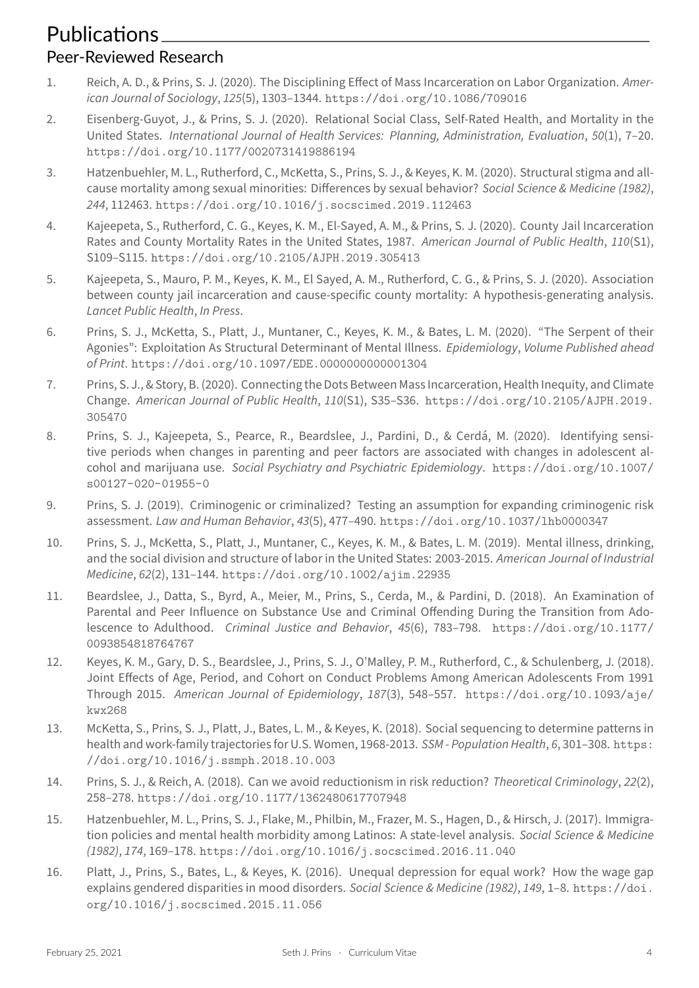#### Peer‐Reviewed Research

- 1. Reich, A. D., & Prins, S. J. (2020). The Disciplining Effect of Mass Incarceration on Labor Organization. *Amer‑ ican Journal of Sociology*, *125*(5), 1303–1344. https://doi.org/10.1086/709016
- 2. Eisenberg‑Guyot, J., & Prins, S. J. (2020). Relational Social Class, Self‑Rated Health, and Mortality in the United States. *International Journal of Health Services: Planning, Administration, Evaluation*, *50*(1), 7–20. https://doi.org/10.1177/00207314198[86194](https://doi.org/10.1086/709016)
- 3. Hatzenbuehler, M. L., Rutherford, C., McKetta, S., Prins, S. J., & Keyes, K. M. (2020). Structural stigma and allcause mortality among sexual minorities: Differences by sexual behavior? *Social Science & Medicine (1982)*, *244*, 112463. [https://doi.org/10.1016/j.socs](https://doi.org/10.1177/0020731419886194)cimed.2019.112463
- 4. Kajeepeta, S., Rutherford, C. G., Keyes, K. M., El‑Sayed, A. M., & Prins, S. J. (2020). County Jail Incarceration Rates and County Mortality Rates in the United States, 1987. *American Journal of Public Health*, *110*(S1), S109–S115. [https://doi.org/10.2105/AJPH.2019.305413](https://doi.org/10.1016/j.socscimed.2019.112463)
- 5. Kajeepeta, S., Mauro, P. M., Keyes, K. M., El Sayed, A. M., Rutherford, C. G., & Prins, S. J. (2020). Association between county jail incarceration and cause-specific county mortality: A hypothesis-generating analysis. *Lancet Publi[c Health](https://doi.org/10.2105/AJPH.2019.305413)*, *In Press*.
- 6. Prins, S. J., McKetta, S., Platt, J., Muntaner, C., Keyes, K. M., & Bates, L. M. (2020). "The Serpent of their Agonies": Exploitation As Structural Determinant of Mental Illness. *Epidemiology*, *Volume Published ahead of Print*. https://doi.org/10.1097/EDE.0000000000001304
- 7. Prins, S. J., & Story, B. (2020). Connecting the Dots Between Mass Incarceration, Health Inequity, and Climate Change. *American Journal of Public Health*, *110*(S1), S35–S36. https://doi.org/10.2105/AJPH.2019. 305470
- 8. Prins, S. J., Kajeepeta, S., Pearce, R., Beardslee, J., Pardini, D., & Cerdá, M. (2020). Identifying sensitive periods when changes in parenting and peer factors are associated with changes in adolescent al[cohol an](https://doi.org/10.2105/AJPH.2019.305470)d marijuana use. *Social Psychiatry and Psychiatric Epidemiology*. https://doi.org/10.1007/ s00127-020-01955-0
- 9. Prins, S. J. (2019). Criminogenic or criminalized? Testing an assumption for expanding criminogenic risk assessment. *Law and Human Behavior*, *43*(5), 477–490. https://doi.org/[10.1037/lhb0000347](https://doi.org/10.1007/s00127-020-01955-0)
- 10. [Prins, S. J., McKetta, S.](https://doi.org/10.1007/s00127-020-01955-0), Platt, J., Muntaner, C., Keyes, K. M., & Bates, L. M. (2019). Mental illness, drinking, and the social division and structure of labor in the United States: 2003‑2015. *American Journal of Industrial Medicine*, *62*(2), 131–144. https://doi.org/10.1002[/ajim.22935](https://doi.org/10.1037/lhb0000347)
- 11. Beardslee, J., Datta, S., Byrd, A., Meier, M., Prins, S., Cerda, M., & Pardini, D. (2018). An Examination of Parental and Peer Influence on Substance Use and Criminal Offending During the Transition from Adolescence to Adulthood. *[Criminal Justice and Behavior](https://doi.org/10.1002/ajim.22935)*, *45*(6), 783–798. https://doi.org/10.1177/ 0093854818764767
- 12. Keyes, K. M., Gary, D. S., Beardslee, J., Prins, S. J., O'Malley, P. M., Rutherford, C., & Schulenberg, J. (2018). Joint Effects of Age, Period, and Cohort on Conduct Problems Among Am[erican Adolescents From 1991](https://doi.org/10.1177/0093854818764767) [Through 2015.](https://doi.org/10.1177/0093854818764767) *American Journal of Epidemiology*, *187*(3), 548–557. https://doi.org/10.1093/aje/ kwx268
- 13. McKetta, S., Prins, S. J., Platt, J., Bates, L. M., & Keyes, K. (2018). Social sequencing to determine patterns in health and work‑family trajectories for U.S. Women, 1968‑2013. *SSM ‑ Po[pulation Health](https://doi.org/10.1093/aje/kwx268)*, *6*, 301–308. https: [//doi.](https://doi.org/10.1093/aje/kwx268)org/10.1016/j.ssmph.2018.10.003
- 14. Prins, S. J., & Reich, A. (2018). Can we avoid reductionism in risk reduction? *Theoretical Criminology*, *22*(2), 258–278. https://doi.org/10.1177/1362480617707948
- 15. [Hatzenbuehler, M. L., Prins, S. J., Flake, M., Philb](https://doi.org/10.1016/j.ssmph.2018.10.003)in, M., Frazer, M. S., Hagen, D., & Hirsch, J. (2017). Immigration policies and mental health morbidity among Latinos: A state‑level analysis. *Social Science & Medicine (1982)*, *174*, 169–178. [https://doi.org/10.1016/j.socsc](https://doi.org/10.1177/1362480617707948)imed.2016.11.040
- 16. Platt, J., Prins, S., Bates, L., & Keyes, K. (2016). Unequal depression for equal work? How the wage gap explains gendered disparities in mood disorders. *Social Science & Medicine (1982)*, *149*, 1–8. https://doi. org/10.1016/j.so[cscimed.2015.11.056](https://doi.org/10.1016/j.socscimed.2016.11.040)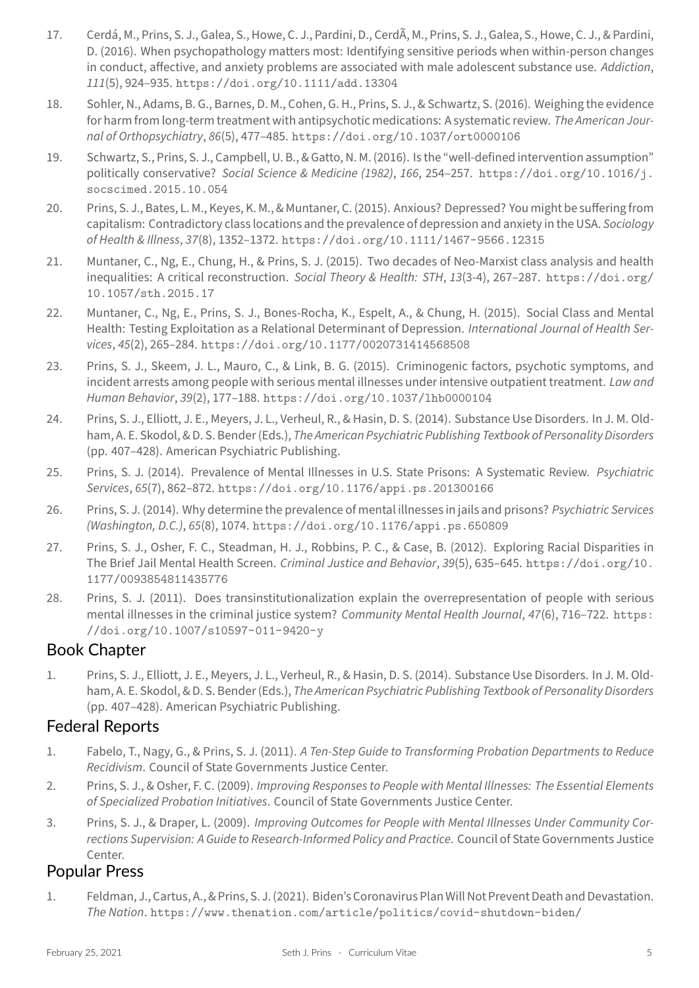in conduct, affective, and anxiety problems are associated with male adolescent substance use. *Addiction*, *111*(5), 924–935. https://doi.org/10.1111/add.13304

- 18. Sohler, N., Adams, B. G., Barnes, D. M., Cohen, G. H., Prins, S. J., & Schwartz, S. (2016). Weighing the evidence for harm from long‑term treatment with antipsychotic medications: A systematic review. *The American Jour‑ nal of Orthopsychiatry*, *86*(5), 477–485. [https://doi.org/](https://doi.org/10.1111/add.13304)10.1037/ort0000106
- 19. Schwartz, S., Prins, S. J., Campbell, U. B., & Gatto, N. M. (2016). Is the "well‑defined intervention assumption" politically conservative? *Social Science & Medicine (1982)*, *166*, 254–257. https://doi.org/10.1016/j. socscimed.2015.10.054
- 20. Prins, S. J., Bates, L. M., Keyes, K. M., & Muntaner, C. (2015). Anxious? Depressed? You might be sufferingfrom capitalism: Contradictory class locations and the prevalence of depression [and anxiety in the USA.](https://doi.org/10.1016/j.socscimed.2015.10.054) *Sociology [of Health & Illness](https://doi.org/10.1016/j.socscimed.2015.10.054)*, *37*(8), 1352–1372. https://doi.org/10.1111/1467-9566.12315
- 21. Muntaner, C., Ng, E., Chung, H., & Prins, S. J. (2015). Two decades of Neo‑Marxist class analysis and health inequalities: A critical reconstruction. *Social Theory & Health: STH*, *13*(3‑4), 267–287. https://doi.org/ 10.1057/sth.2015.17
- 22. Muntaner, C., Ng, E., Prins, S. J., Bones‑Rocha, K., Espelt, A., & Chung, H. (2015). Social Class and Mental Health: Testing Exploitation as a Relational Determinant of Depression. *InternationalJ[ournal of Health Ser‑](https://doi.org/10.1057/sth.2015.17) vices*, *45*[\(2\), 265–284.](https://doi.org/10.1057/sth.2015.17) https://doi.org/10.1177/0020731414568508
- 23. Prins, S. J., Skeem, J. L., Mauro, C., & Link, B. G. (2015). Criminogenic factors, psychotic symptoms, and incident arrests among people with serious mental illnesses under intensive outpatient treatment. *Law and Human Behavior*, *39*(2), 177–188. [https://doi.org/10.1037/lhb0000](https://doi.org/10.1177/0020731414568508)104
- 24. Prins, S. J., Elliott, J. E., Meyers, J. L., Verheul, R., & Hasin, D. S. (2014). Substance Use Disorders. In J. M. Oldham, A. E. Skodol, & D. S. Bender (Eds.), *The American Psychiatric Publishing Textbook of Personality Disorders* (pp. 407–428). American Psychia[tric Publishing.](https://doi.org/10.1037/lhb0000104)
- 25. Prins, S. J. (2014). Prevalence of Mental Illnesses in U.S. State Prisons: A Systematic Review. *Psychiatric Services*, *65*(7), 862–872. https://doi.org/10.1176/appi.ps.201300166
- 26. Prins, S. J. (2014). Why determine the prevalence of mental illnesses in jails and prisons? *Psychiatric Services (Washington, D.C.)*, *65*(8), 1074. https://doi.org/10.1176/appi.ps.650809
- 27. Prins, S. J., Osher, F. C., [Steadman, H. J., Robbins, P. C., & Case, B. \(2012\). E](https://doi.org/10.1176/appi.ps.201300166)xploring Racial Disparities in The Brief Jail Mental Health Screen. *Criminal Justice and Behavior*, *39*(5), 635–645. https://doi.org/10. 1177/0093854811435776
- 28. Prins, S. J. (2011). Does transinstitutionalization explain the overrepresentation of people with serious mental illnesses in the criminal justice system? *Community Mental Health Journal*, *47*[\(6\), 716–722.](https://doi.org/10.1177/0093854811435776) https: [//doi.org/10.1007/s10](https://doi.org/10.1177/0093854811435776)597-011-9420-y

## Book Chapter

1. Prins, S. J., Elliott, J. E., Meyers, J. L., Verheul, R., & Hasin, D. S. (2014). Substance Use Disorders. In J. [M. Old‑](https://doi.org/10.1007/s10597-011-9420-y) [ham, A. E. Skodol, & D. S. Bender \(Eds.\),](https://doi.org/10.1007/s10597-011-9420-y) *The American Psychiatric Publishing Textbook of Personality Disorders* (pp. 407–428). American Psychiatric Publishing.

## Federal Reports

- 1. Fabelo, T., Nagy, G., & Prins, S. J. (2011). *A Ten‑Step Guide to Transforming Probation Departments to Reduce Recidivism*. Council of State Governments Justice Center.
- 2. Prins, S. J., & Osher, F. C. (2009). *Improving Responses to People with Mental Illnesses: The Essential Elements of Specialized Probation Initiatives*. Council of State Governments Justice Center.
- 3. Prins, S. J., & Draper, L. (2009). *Improving Outcomes for People with Mental Illnesses Under Community Cor‑ rections Supervision: A Guide to Research‑Informed Policy and Practice*. Council of State Governments Justice Center.

## Popular Press

1. Feldman, J., Cartus, A., & Prins, S. J. (2021). Biden's Coronavirus Plan Will Not Prevent Death and Devastation. *The Nation*. https://www.thenation.com/article/politics/covid-shutdown-biden/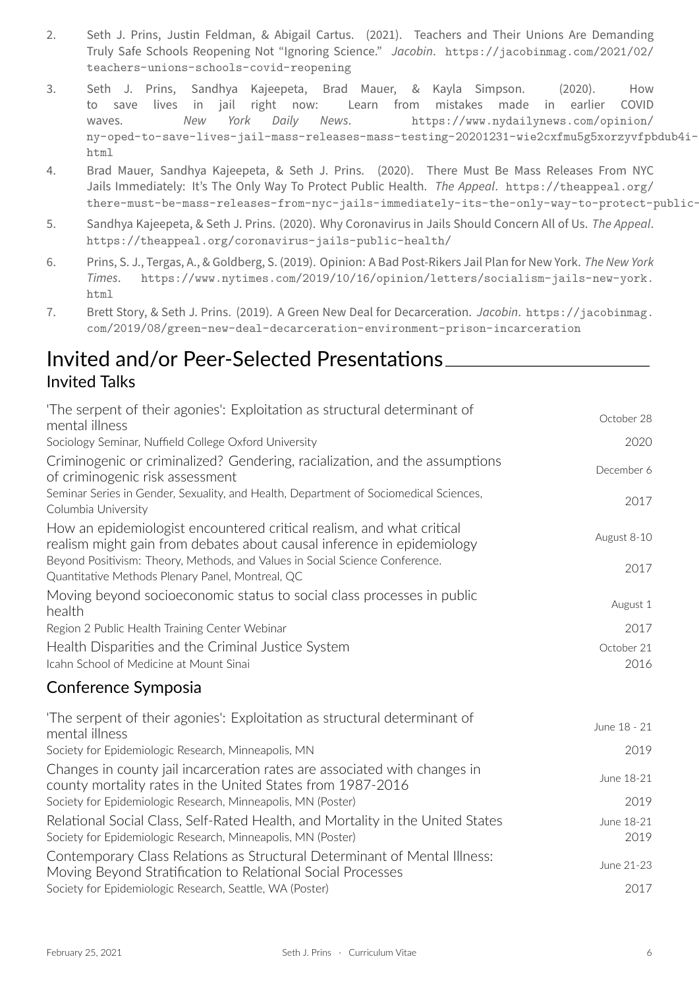teachers-unions-schools-covid-reopening

- 3. Seth J. Prins, Sandhya Kajeepeta, Brad Mauer, & Kayla Simpson. (2020). How to save lives in jail right now: Learn from [mistakes made in earlier COVID](https://jacobinmag.com/2021/02/teachers-unions-schools-covid-reopening) waves. *[New York Daily News](https://jacobinmag.com/2021/02/teachers-unions-schools-covid-reopening)*. https://www.nydailynews.com/opinion/ ny-oped-to-save-lives-jail-mass-releases-mass-testing-20201231-wie2cxfmu5g5xorzyvfpbdub4i-story. html
- 4. Brad Mauer, Sandhya Kajeepeta, & Seth J. Prins. (2020)[. There Must Be Mass Releases From NYC](https://www.nydailynews.com/opinion/ny-oped-to-save-lives-jail-mass-releases-mass-testing-20201231-wie2cxfmu5g5xorzyvfpbdub4i-story.html) Jails Immediately: It's The Only Way To Protect Public Health. *The Appeal*. https://theappeal.org/ there-must-be-mass-releases-from-nyc-jails-immediately-its-the-only-way-to-protect-public-hea
- 5. Sandhya Kajeepeta, & Seth J. Prins. (2020). Why Coronavirus in Jails Should Concern All of Us. *The Appeal*. https://theappeal.org/coronavirus-jails-public-health/
- 6. [Prins, S. J., Tergas, A., & Goldberg, S. \(2019\). Opinion: A Bad Post‑Rikers Jail Plan for New York.](https://theappeal.org/there-must-be-mass-releases-from-nyc-jails-immediately-its-the-only-way-to-protect-public-health/) *The New York Times*. https://www.nytimes.com/2019/10/16/opinion/letters/socialism-jails-new-york. [html](https://theappeal.org/coronavirus-jails-public-health/)
- 7. Brett Story, & Seth J. Prins. (2019). A Green New Deal for Decarceration. *Jacobin*. https://jacobinmag. com/2019[/08/green-new-deal-decarceration-environment-prison-incarceration](https://www.nytimes.com/2019/10/16/opinion/letters/socialism-jails-new-york.html)

## Invi[ted](https://www.nytimes.com/2019/10/16/opinion/letters/socialism-jails-new-york.html) and/or Peer‐Selected Presentations Invit[ed Talks](https://jacobinmag.com/2019/08/green-new-deal-decarceration-environment-prison-incarceration)

| 'The serpent of their agonies': Exploitation as structural determinant of<br>mental illness                                                     | October 28         |
|-------------------------------------------------------------------------------------------------------------------------------------------------|--------------------|
| Sociology Seminar, Nuffield College Oxford University                                                                                           | 2020               |
| Criminogenic or criminalized? Gendering, racialization, and the assumptions<br>of criminogenic risk assessment                                  | December 6         |
| Seminar Series in Gender, Sexuality, and Health, Department of Sociomedical Sciences,<br>Columbia University                                    | 2017               |
| How an epidemiologist encountered critical realism, and what critical<br>realism might gain from debates about causal inference in epidemiology | August 8-10        |
| Beyond Positivism: Theory, Methods, and Values in Social Science Conference.<br>Quantitative Methods Plenary Panel, Montreal, QC                | 2017               |
| Moving beyond socioeconomic status to social class processes in public<br>health                                                                | August 1           |
| Region 2 Public Health Training Center Webinar                                                                                                  | 2017               |
| Health Disparities and the Criminal Justice System<br>Icahn School of Medicine at Mount Sinai                                                   | October 21<br>2016 |
| Conference Symposia                                                                                                                             |                    |
| 'The serpent of their agonies': Exploitation as structural determinant of<br>mental illness                                                     | June 18 - 21       |
| Society for Epidemiologic Research, Minneapolis, MN                                                                                             | 2019               |
| Changes in county jail incarceration rates are associated with changes in<br>county mortality rates in the United States from 1987-2016         | June 18-21         |
| Society for Epidemiologic Research, Minneapolis, MN (Poster)                                                                                    | 2019               |
| Relational Social Class, Self-Rated Health, and Mortality in the United States<br>Society for Epidemiologic Research, Minneapolis, MN (Poster)  | June 18-21<br>2019 |
| Contemporary Class Relations as Structural Determinant of Mental Illness:<br>Moving Beyond Stratification to Relational Social Processes        | June 21-23         |
| Society for Epidemiologic Research, Seattle, WA (Poster)                                                                                        | 2017               |